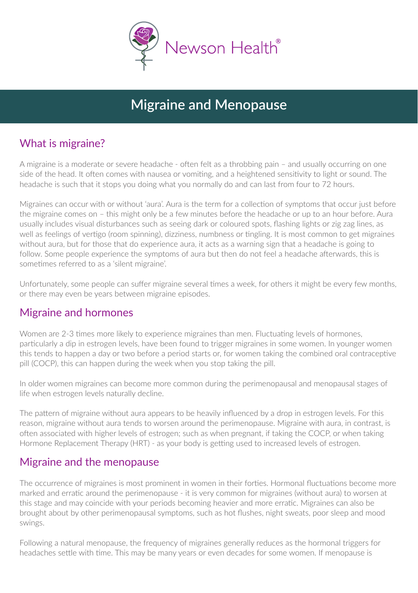

# **Migraine and Menopause**

## What is migraine?

A migraine is a moderate or severe headache - often felt as a throbbing pain – and usually occurring on one side of the head. It often comes with nausea or vomiting, and a heightened sensitivity to light or sound. The headache is such that it stops you doing what you normally do and can last from four to 72 hours.

Migraines can occur with or without 'aura'. Aura is the term for a collection of symptoms that occur just before the migraine comes on – this might only be a few minutes before the headache or up to an hour before. Aura usually includes visual disturbances such as seeing dark or coloured spots, flashing lights or zig zag lines, as well as feelings of vertigo (room spinning), dizziness, numbness or tingling. It is most common to get migraines without aura, but for those that do experience aura, it acts as a warning sign that a headache is going to follow. Some people experience the symptoms of aura but then do not feel a headache afterwards, this is sometimes referred to as a 'silent migraine'.

Unfortunately, some people can suffer migraine several times a week, for others it might be every few months, or there may even be years between migraine episodes.

#### Migraine and hormones

Women are 2-3 times more likely to experience migraines than men. Fluctuating levels of hormones, particularly a dip in estrogen levels, have been found to trigger migraines in some women. In younger women this tends to happen a day or two before a period starts or, for women taking the combined oral contraceptive pill (COCP), this can happen during the week when you stop taking the pill.

In older women migraines can become more common during the perimenopausal and menopausal stages of life when estrogen levels naturally decline.

The pattern of migraine without aura appears to be heavily influenced by a drop in estrogen levels. For this reason, migraine without aura tends to worsen around the perimenopause. Migraine with aura, in contrast, is often associated with higher levels of estrogen; such as when pregnant, if taking the COCP, or when taking Hormone Replacement Therapy (HRT) - as your body is getting used to increased levels of estrogen.

#### Migraine and the menopause

The occurrence of migraines is most prominent in women in their forties. Hormonal fluctuations become more marked and erratic around the perimenopause it is very common for migraines (without aura) to worsen at this stage and may coincide with your periods becoming heavier and more erratic. Migraines can also be brought about by other perimenopausal symptoms, such as hot flushes, night sweats, poor sleep and mood swings.

Following a natural menopause, the frequency of migraines generally reduces as the hormonal triggers for headaches settle with time. This may be many years or even decades for some women. If menopause is